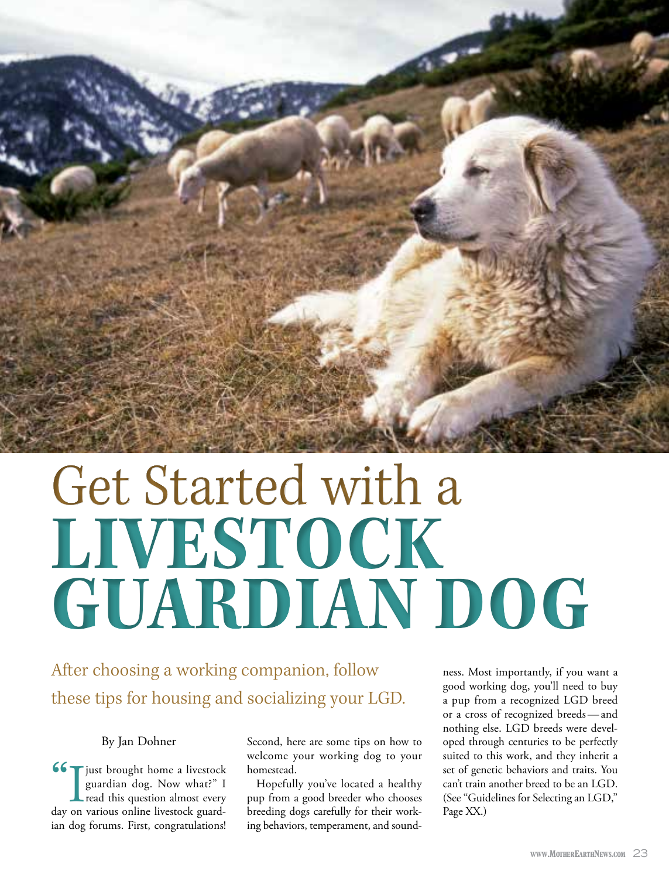

# Get Started with a LIVESTOCK **GUARDIAN DOG**

# After choosing a working companion, follow these tips for housing and socializing your LGD.

#### By Jan Dohner

66 Tjust brought home a livestock guardian dog. Now what?" I read this question almost every day on various online livestock guardian dog forums. First, congratulations!

Second, here are some tips on how to welcome your working dog to your homestead.

Hopefully you've located a healthy pup from a good breeder who chooses breeding dogs carefully for their working behaviors, temperament, and sound-

ness. Most importantly, if you want a good working dog, you'll need to buy a pup from a recognized LGD breed or a cross of recognized breeds-and nothing else. LGD breeds were developed through centuries to be perfectly suited to this work, and they inherit a set of genetic behaviors and traits. You can't train another breed to be an LGD. (See "Guidelines for Selecting an LGD," Page XX.)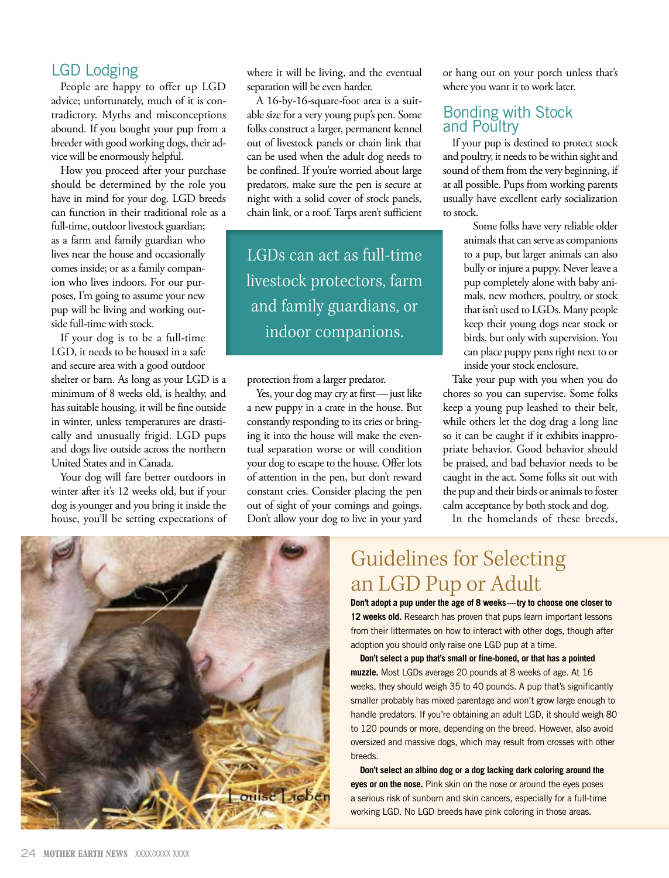#### **LGD Lodging**

People are happy to offer up LGD advice; unfortunately, much of it is contradictory. Myths and misconceptions abound. If you bought your pup from a breeder with good working dogs, their advice will be enormously helpful.

How you proceed after your purchase should be determined by the role you have in mind for your dog. LGD breeds can function in their traditional role as a

full-time, outdoor livestock guardian; as a farm and family guardian who lives near the house and occasionally comes inside; or as a family companion who lives indoors. For our purposes, I'm going to assume your new pup will be living and working outside full-time with stock.

If your dog is to be a full-time LGD, it needs to be housed in a safe and secure area with a good outdoor shelter or barn. As long as your LGD is a minimum of 8 weeks old, is healthy, and has suitable housing, it will be fine outside in winter, unless temperatures are drastically and unusually frigid. LGD pups and dogs live outside across the northern United States and in Canada.

Your dog will fare better outdoors in winter after it's 12 weeks old, but if your dog is younger and you bring it inside the house, you'll be setting expectations of where it will be living, and the eventual separation will be even harder.

A 16-by-16-square-foot area is a suitable size for a very young pup's pen. Some folks construct a larger, permanent kennel out of livestock panels or chain link that can be used when the adult dog needs to be confined. If you're worried about large predators, make sure the pen is secure at night with a solid cover of stock panels, chain link, or a roof. Tarps aren't sufficient

LGDs can act as full-time livestock protectors, farm and family guardians, or indoor companions.

protection from a larger predator.

Yes, your dog may cry at first-just like a new puppy in a crate in the house. But constantly responding to its cries or bringing it into the house will make the eventual separation worse or will condition your dog to escape to the house. Offer lots of attention in the pen, but don't reward constant cries. Consider placing the pen out of sight of your comings and goings. Don't allow your dog to live in your yard

or hang out on your porch unless that's where you want it to work later.

#### **Bonding with Stock** and Poultry

If your pup is destined to protect stock and poultry, it needs to be within sight and sound of them from the very beginning, if at all possible. Pups from working parents usually have excellent early socialization to stock.

> Some folks have very reliable older animals that can serve as companions to a pup, but larger animals can also bully or injure a puppy. Never leave a pup completely alone with baby animals, new mothers, poultry, or stock that isn't used to LGDs. Many people keep their young dogs near stock or birds, but only with supervision. You can place puppy pens right next to or inside your stock enclosure.

Take your pup with you when you do chores so you can supervise. Some folks keep a young pup leashed to their belt, while others let the dog drag a long line so it can be caught if it exhibits inappropriate behavior. Good behavior should be praised, and bad behavior needs to be caught in the act. Some folks sit out with the pup and their birds or animals to foster calm acceptance by both stock and dog.

In the homelands of these breeds,



# **Guidelines for Selecting** an LGD Pup or Adult

Don't adopt a pup under the age of 8 weeks-try to choose one closer to 12 weeks old. Research has proven that pups learn important lessons from their littermates on how to interact with other dogs, though after adoption you should only raise one LGD pup at a time.

Don't select a pup that's small or fine-boned, or that has a pointed muzzle. Most LGDs average 20 pounds at 8 weeks of age. At 16 weeks, they should weigh 35 to 40 pounds. A pup that's significantly smaller probably has mixed parentage and won't grow large enough to handle predators. If you're obtaining an adult LGD, it should weigh 80 to 120 pounds or more, depending on the breed. However, also avoid oversized and massive dogs, which may result from crosses with other breeds.

Don't select an albino dog or a dog lacking dark coloring around the eyes or on the nose. Pink skin on the nose or around the eyes poses a serious risk of sunburn and skin cancers, especially for a full-time working LGD. No LGD breeds have pink coloring in those areas.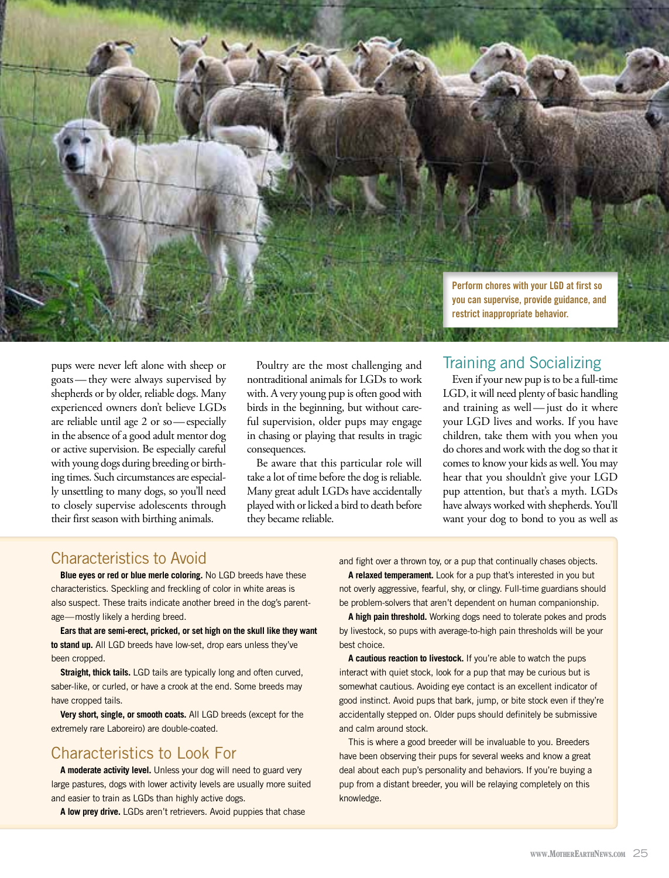Perform chores with your LGD at first so you can supervise, provide guidance, and restrict inappropriate behavior.

pups were never left alone with sheep or goats — they were always supervised by shepherds or by older, reliable dogs. Many experienced owners don't believe LGDs are reliable until age 2 or so-especially in the absence of a good adult mentor dog or active supervision. Be especially careful with young dogs during breeding or birthing times. Such circumstances are especially unsettling to many dogs, so you'll need to closely supervise adolescents through their first season with birthing animals.

Poultry are the most challenging and nontraditional animals for LGDs to work with. A very young pup is often good with birds in the beginning, but without careful supervision, older pups may engage in chasing or playing that results in tragic consequences.

Be aware that this particular role will take a lot of time before the dog is reliable. Many great adult LGDs have accidentally played with or licked a bird to death before they became reliable.

## **Training and Socializing**

Even if your new pup is to be a full-time LGD, it will need plenty of basic handling and training as well - just do it where your LGD lives and works. If you have children, take them with you when you do chores and work with the dog so that it comes to know your kids as well. You may hear that you shouldn't give your LGD pup attention, but that's a myth. LGDs have always worked with shepherds. You'll want your dog to bond to you as well as

#### **Characteristics to Avoid**

Blue eyes or red or blue merle coloring. No LGD breeds have these characteristics. Speckling and freckling of color in white areas is also suspect. These traits indicate another breed in the dog's parentage-mostly likely a herding breed.

Ears that are semi-erect, pricked, or set high on the skull like they want to stand up. All LGD breeds have low-set, drop ears unless they've been cropped.

Straight, thick tails. LGD tails are typically long and often curved, saber-like, or curled, or have a crook at the end. Some breeds may have cropped tails.

Very short, single, or smooth coats. All LGD breeds (except for the extremely rare Laboreiro) are double-coated.

## Characteristics to Look For

A moderate activity level. Unless your dog will need to guard very large pastures, dogs with lower activity levels are usually more suited and easier to train as LGDs than highly active dogs.

A low prey drive. LGDs aren't retrievers. Avoid puppies that chase

and fight over a thrown toy, or a pup that continually chases objects.

A relaxed temperament. Look for a pup that's interested in you but not overly aggressive, fearful, shy, or clingy. Full-time guardians should be problem-solvers that aren't dependent on human companionship.

A high pain threshold. Working dogs need to tolerate pokes and prods by livestock, so pups with average-to-high pain thresholds will be your best choice.

A cautious reaction to livestock. If you're able to watch the pups interact with quiet stock, look for a pup that may be curious but is somewhat cautious. Avoiding eye contact is an excellent indicator of good instinct. Avoid pups that bark, jump, or bite stock even if they're accidentally stepped on. Older pups should definitely be submissive and calm around stock.

This is where a good breeder will be invaluable to you. Breeders have been observing their pups for several weeks and know a great deal about each pup's personality and behaviors. If you're buying a pup from a distant breeder, you will be relaying completely on this knowledge.